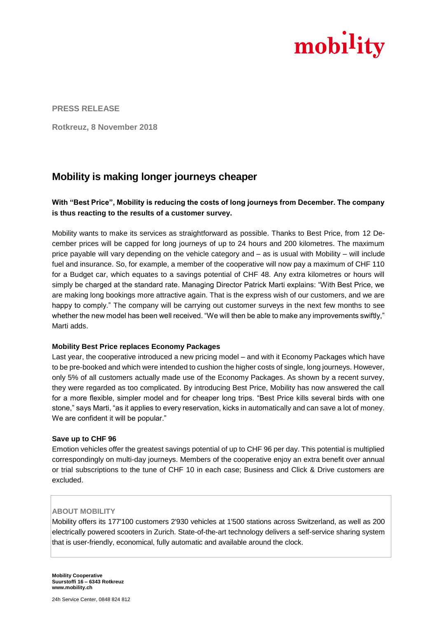

**PRESS RELEASE**

**Rotkreuz, 8 November 2018** 

# **Mobility is making longer journeys cheaper**

## **With "Best Price", Mobility is reducing the costs of long journeys from December. The company is thus reacting to the results of a customer survey.**

Mobility wants to make its services as straightforward as possible. Thanks to Best Price, from 12 December prices will be capped for long journeys of up to 24 hours and 200 kilometres. The maximum price payable will vary depending on the vehicle category and – as is usual with Mobility – will include fuel and insurance. So, for example, a member of the cooperative will now pay a maximum of CHF 110 for a Budget car, which equates to a savings potential of CHF 48. Any extra kilometres or hours will simply be charged at the standard rate. Managing Director Patrick Marti explains: "With Best Price, we are making long bookings more attractive again. That is the express wish of our customers, and we are happy to comply." The company will be carrying out customer surveys in the next few months to see whether the new model has been well received. "We will then be able to make any improvements swiftly," Marti adds.

### **Mobility Best Price replaces Economy Packages**

Last year, the cooperative introduced a new pricing model – and with it Economy Packages which have to be pre-booked and which were intended to cushion the higher costs of single, long journeys. However, only 5% of all customers actually made use of the Economy Packages. As shown by a recent survey, they were regarded as too complicated. By introducing Best Price, Mobility has now answered the call for a more flexible, simpler model and for cheaper long trips. "Best Price kills several birds with one stone," says Marti, "as it applies to every reservation, kicks in automatically and can save a lot of money. We are confident it will be popular."

### **Save up to CHF 96**

Emotion vehicles offer the greatest savings potential of up to CHF 96 per day. This potential is multiplied correspondingly on multi-day journeys. Members of the cooperative enjoy an extra benefit over annual or trial subscriptions to the tune of CHF 10 in each case; Business and Click & Drive customers are excluded.

### **ABOUT MOBILITY**

Mobility offers its 177'100 customers 2'930 vehicles at 1'500 stations across Switzerland, as well as 200 electrically powered scooters in Zurich. State-of-the-art technology delivers a self-service sharing system that is user-friendly, economical, fully automatic and available around the clock.